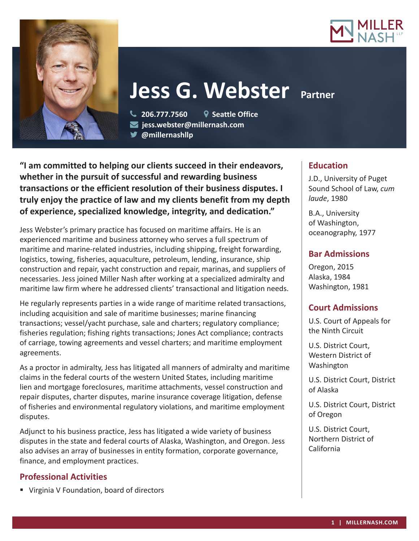



# **Jess G. Webster** Partner

 **206.777.7560 Seattle Office jess.webster@millernash.com** 

**@millernashllp**

**"I am committed to helping our clients succeed in their endeavors, whether in the pursuit of successful and rewarding business transactions or the efficient resolution of their business disputes. I truly enjoy the practice of law and my clients benefit from my depth of experience, specialized knowledge, integrity, and dedication."**

Jess Webster's primary practice has focused on maritime affairs. He is an experienced maritime and business attorney who serves a full spectrum of maritime and marine-related industries, including shipping, freight forwarding, logistics, towing, fisheries, aquaculture, petroleum, lending, insurance, ship construction and repair, yacht construction and repair, marinas, and suppliers of necessaries. Jess joined Miller Nash after working at a specialized admiralty and maritime law firm where he addressed clients' transactional and litigation needs.

He regularly represents parties in a wide range of maritime related transactions, including acquisition and sale of maritime businesses; marine financing transactions; vessel/yacht purchase, sale and charters; regulatory compliance; fisheries regulation; fishing rights transactions; Jones Act compliance; contracts of carriage, towing agreements and vessel charters; and maritime employment agreements.

As a proctor in admiralty, Jess has litigated all manners of admiralty and maritime claims in the federal courts of the western United States, including maritime lien and mortgage foreclosures, maritime attachments, vessel construction and repair disputes, charter disputes, marine insurance coverage litigation, defense of fisheries and environmental regulatory violations, and maritime employment disputes.

Adjunct to his business practice, Jess has litigated a wide variety of business disputes in the state and federal courts of Alaska, Washington, and Oregon. Jess also advises an array of businesses in entity formation, corporate governance, finance, and employment practices.

# **Professional Activities**

Virginia V Foundation, board of directors

## **Education**

J.D., University of Puget Sound School of Law, *cum laude*, 1980

B.A., University of Washington, oceanography, 1977

# **Bar Admissions**

Oregon, 2015 Alaska, 1984 Washington, 1981

# **Court Admissions**

U.S. Court of Appeals for the Ninth Circuit

U.S. District Court, Western District of Washington

U.S. District Court, District of Alaska

U.S. District Court, District of Oregon

U.S. District Court, Northern District of California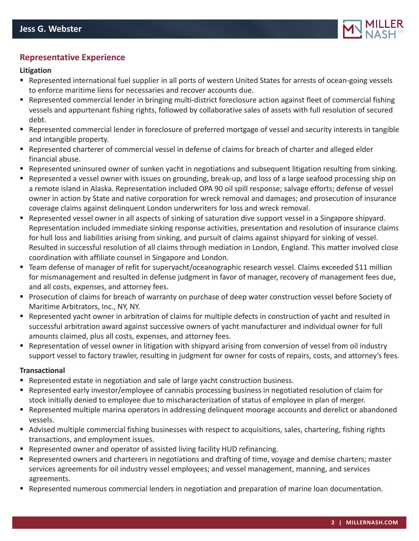

## **Representative Experience**

#### **Litigation**

- Represented international fuel supplier in all ports of western United States for arrests of ocean-going vessels to enforce maritime liens for necessaries and recover accounts due.
- Represented commercial lender in bringing multi-district foreclosure action against fleet of commercial fishing vessels and appurtenant fishing rights, followed by collaborative sales of assets with full resolution of secured debt.
- Represented commercial lender in foreclosure of preferred mortgage of vessel and security interests in tangible and intangible property.
- Represented charterer of commercial vessel in defense of claims for breach of charter and alleged elder financial abuse.
- Represented uninsured owner of sunken yacht in negotiations and subsequent litigation resulting from sinking.
- Represented a vessel owner with issues on grounding, break-up, and loss of a large seafood processing ship on a remote island in Alaska. Representation included OPA 90 oil spill response; salvage efforts; defense of vessel owner in action by State and native corporation for wreck removal and damages; and prosecution of insurance coverage claims against delinquent London underwriters for loss and wreck removal.
- Represented vessel owner in all aspects of sinking of saturation dive support vessel in a Singapore shipyard. Representation included immediate sinking response activities, presentation and resolution of insurance claims for hull loss and liabilities arising from sinking, and pursuit of claims against shipyard for sinking of vessel. Resulted in successful resolution of all claims through mediation in London, England. This matter involved close coordination with affiliate counsel in Singapore and London.
- Team defense of manager of refit for superyacht/oceanographic research vessel. Claims exceeded \$11 million for mismanagement and resulted in defense judgment in favor of manager, recovery of management fees due, and all costs, expenses, and attorney fees.
- Prosecution of claims for breach of warranty on purchase of deep water construction vessel before Society of Maritime Arbitrators, Inc., NY, NY.
- Represented yacht owner in arbitration of claims for multiple defects in construction of yacht and resulted in successful arbitration award against successive owners of yacht manufacturer and individual owner for full amounts claimed, plus all costs, expenses, and attorney fees.
- Representation of vessel owner in litigation with shipyard arising from conversion of vessel from oil industry support vessel to factory trawler, resulting in judgment for owner for costs of repairs, costs, and attorney's fees.

#### **Transactional**

- **Represented estate in negotiation and sale of large yacht construction business.**
- Represented early investor/employee of cannabis processing business in negotiated resolution of claim for stock initially denied to employee due to mischaracterization of status of employee in plan of merger.
- Represented multiple marina operators in addressing delinquent moorage accounts and derelict or abandoned vessels.
- Advised multiple commercial fishing businesses with respect to acquisitions, sales, chartering, fishing rights transactions, and employment issues.
- **Represented owner and operator of assisted living facility HUD refinancing.**
- Represented owners and charterers in negotiations and drafting of time, voyage and demise charters; master services agreements for oil industry vessel employees; and vessel management, manning, and services agreements.
- **Paramers 2** Represented numerous commercial lenders in negotiation and preparation of marine loan documentation.